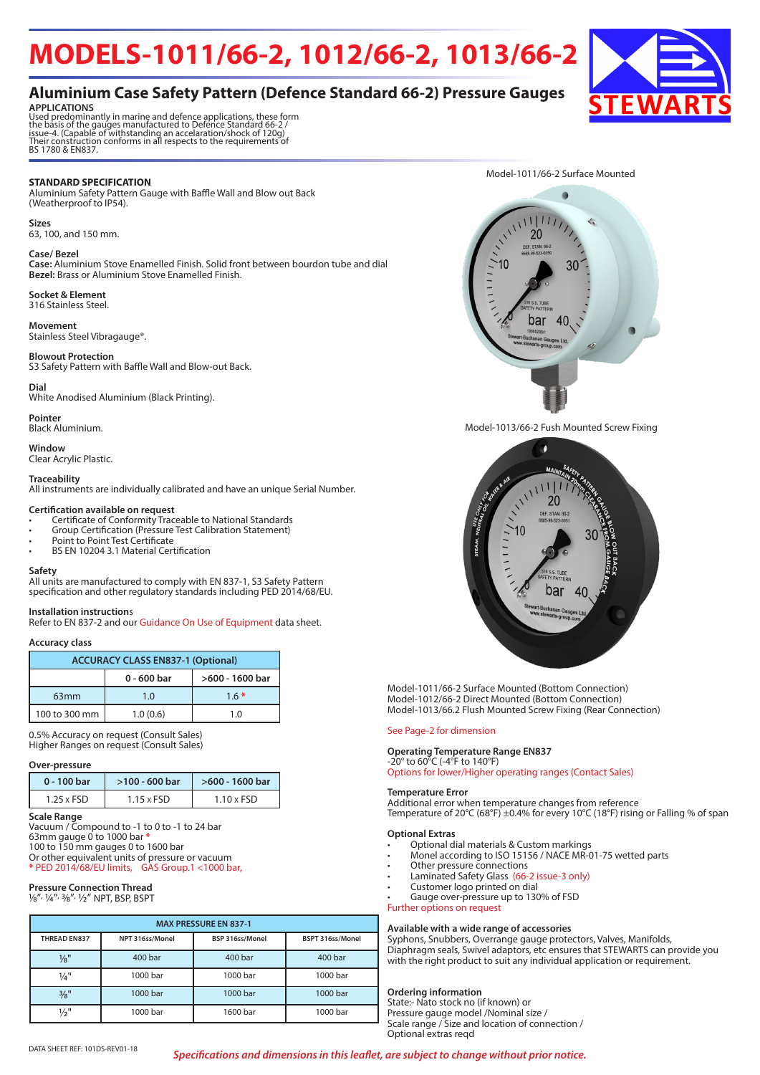# **MODELS-1011/66-2, 1012/66-2, 1013/66-2**

# **Aluminium Case Safety Pattern (Defence Standard 66-2) Pressure Gauges**



**APPLICATIONS**<br>Used predominantly in marine and defence applications, these form<br>the basis of the gauges manufactured to Defence Standard 66-2 /<br>issue-4. (Capable of withstanding an accelaration/shock of 120g)<br>Their constr

#### **STANDARD SPECIFICATION**

Aluminium Safety Pattern Gauge with Baffle Wall and Blow out Back (Weatherproof to IP54).

### 63, 100, and 150 mm.

**Sizes**

#### **Case/ Bezel**

**Case:** Aluminium Stove Enamelled Finish. Solid front between bourdon tube and dial **Bezel:** Brass or Aluminium Stove Enamelled Finish.

**Socket & Element** 316 Stainless Steel.

#### **Movement**

Stainless Steel Vibragauge®.

#### **Blowout Protection**

S3 Safety Pattern with Baffle Wall and Blow-out Back.

#### **Dial**

White Anodised Aluminium (Black Printing).

**Pointer** Black Aluminium.

**Window** Clear Acrylic Plastic.

#### **Traceability**

All instruments are individually calibrated and have an unique Serial Number.

#### **Certification available on request**

- Certificate of Conformity Traceable to National Standards
- Group Certification (Pressure Test Calibration Statement)
- Point to Point Test Certificate
- BS EN 10204 3.1 Material Certification

#### **Safety**

All units are manufactured to comply with EN 837-1, S3 Safety Pattern specification and other regulatory standards including PED 2014/68/EU.

#### **Installation instruction**s

Refer to EN 837-2 and our Guidance On Use of Equipment data sheet.

#### **Accuracy class**

| <b>ACCURACY CLASS EN837-1 (Optional)</b> |               |                 |  |  |  |  |  |  |
|------------------------------------------|---------------|-----------------|--|--|--|--|--|--|
|                                          | $0 - 600$ bar | >600 - 1600 bar |  |  |  |  |  |  |
| 63 <sub>mm</sub>                         | 1.0           | $1.6*$          |  |  |  |  |  |  |
| 100 to 300 mm                            | 1.0(0.6)      | 1 ດ             |  |  |  |  |  |  |

0.5% Accuracy on request (Consult Sales) Higher Ranges on request (Consult Sales)

#### **Over-pressure**

| 0 - 100 bar       | >100 - 600 bar    | >600 - 1600 bar   |  |  |  |  |
|-------------------|-------------------|-------------------|--|--|--|--|
| $1.25 \times FSD$ | $1.15 \times FSD$ | $1.10 \times FSD$ |  |  |  |  |

**Scale Range**

Vacuum / Compound to -1 to 0 to -1 to 24 bar 63mm gauge 0 to 1000 bar **\*** 100 to 150 mm gauges 0 to 1600 bar Or other equivalent units of pressure or vacuum **\*** PED 2014/68/EU limits, GAS Group.1 <1000 bar,

### **Pressure Connection Thread**

1/8", ¼", 3/8", 1/2" NPT, BSP, BSPT

| <b>MAX PRESSURE EN 837-1</b> |                 |                 |                  |  |  |  |  |  |  |
|------------------------------|-----------------|-----------------|------------------|--|--|--|--|--|--|
| <b>THREAD EN837</b>          | NPT 316ss/Monel | BSP 316ss/Monel | BSPT 316ss/Monel |  |  |  |  |  |  |
| $\frac{1}{8}$ "              | 400 bar         | 400 bar         | 400 bar          |  |  |  |  |  |  |
| $\frac{1}{4}$ "              | 1000 bar        | 1000 bar        | 1000 bar         |  |  |  |  |  |  |
| 3/8"                         | 1000 bar        | 1000 bar        | 1000 bar         |  |  |  |  |  |  |
| 1/2"                         | 1000 bar        | 1600 bar        | 1000 bar         |  |  |  |  |  |  |

Model-1011/66-2 Surface Mounted  $\blacksquare$  $11111$ 20



bar

 $40$ 

Model-1011/66-2 Surface Mounted (Bottom Connection) Model-1012/66-2 Direct Mounted (Bottom Connection) Model-1013/66.2 Flush Mounted Screw Fixing (Rear Connection)

#### See Page-2 for dimension

#### **Operating Temperature Range EN837**

-20° to 60°C (-4°F to 140°F) Options for lower/Higher operating ranges (Contact Sales)

#### **Temperature Error**

Additional error when temperature changes from reference Temperature of 20°C (68°F) ±0.4% for every 10°C (18°F) rising or Falling % of span

#### **Optional Extras**

- Optional dial materials & Custom markings
- Monel according to ISO 15156 / NACE MR-01-75 wetted parts
- Other pressure connections
- Laminated Safety Glass (66-2 issue-3 only)
- Customer logo printed on dial
- Gauge over-pressure up to 130% of FSD

#### Further options on request

**Available with a wide range of accessories** Syphons, Snubbers, Overrange gauge protectors, Valves, Manifolds, Diaphragm seals, Swivel adaptors, etc ensures that STEWARTS can provide you with the right product to suit any individual application or requirement.

#### **Ordering information**

State:- Nato stock no (if known) or Pressure gauge model /Nominal size / Scale range / Size and location of connection / Optional extras reqd